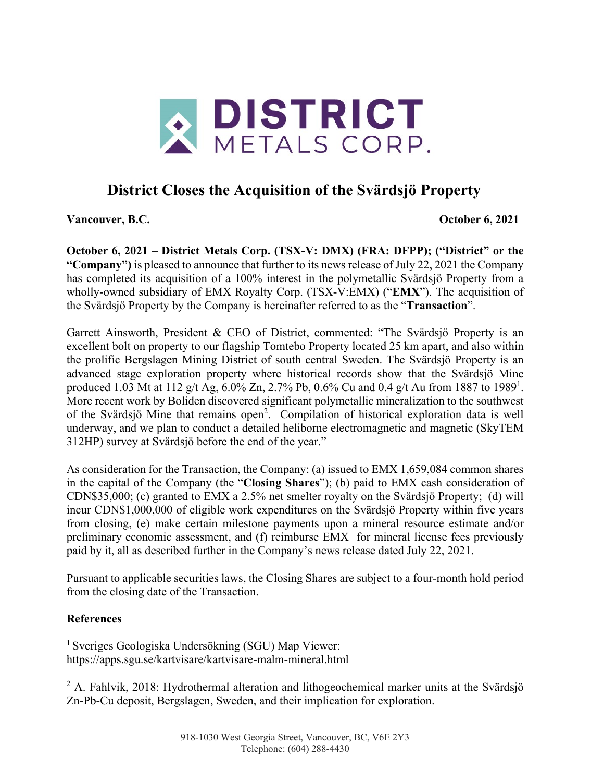

# **District Closes the Acquisition of the Svärdsjö Property**

**Vancouver, B.C. October 6, 2021**

**October 6, 2021 – District Metals Corp. (TSX-V: DMX) (FRA: DFPP); ("District" or the "Company")** is pleased to announce that further to its news release of July 22, 2021 the Company has completed its acquisition of a 100% interest in the polymetallic Svärdsjö Property from a wholly-owned subsidiary of EMX Royalty Corp. (TSX-V:EMX) ("**EMX**"). The acquisition of the Svärdsjö Property by the Company is hereinafter referred to as the "**Transaction**".

Garrett Ainsworth, President & CEO of District, commented: "The Svärdsjö Property is an excellent bolt on property to our flagship Tomtebo Property located 25 km apart, and also within the prolific Bergslagen Mining District of south central Sweden. The Svärdsjö Property is an advanced stage exploration property where historical records show that the Svärdsjö Mine produced 1.03 Mt at 112 g/t Ag, 6.0% Zn, 2.7% Pb, 0.6% Cu and 0.4 g/t Au from 1887 to 1989<sup>1</sup>. More recent work by Boliden discovered significant polymetallic mineralization to the southwest of the Svärdsjö Mine that remains open<sup>2</sup>. Compilation of historical exploration data is well underway, and we plan to conduct a detailed heliborne electromagnetic and magnetic (SkyTEM 312HP) survey at Svärdsjö before the end of the year."

As consideration for the Transaction, the Company: (a) issued to EMX 1,659,084 common shares in the capital of the Company (the "**Closing Shares**"); (b) paid to EMX cash consideration of CDN\$35,000; (c) granted to EMX a 2.5% net smelter royalty on the Svärdsjö Property; (d) will incur CDN\$1,000,000 of eligible work expenditures on the Svärdsjö Property within five years from closing, (e) make certain milestone payments upon a mineral resource estimate and/or preliminary economic assessment, and (f) reimburse EMX for mineral license fees previously paid by it, all as described further in the Company's news release dated July 22, 2021.

Pursuant to applicable securities laws, the Closing Shares are subject to a four-month hold period from the closing date of the Transaction.

## **References**

<sup>1</sup> Sveriges Geologiska Undersökning (SGU) Map Viewer: https://apps.sgu.se/kartvisare/kartvisare-malm-mineral.html

<sup>2</sup> A. Fahlvik, 2018: Hydrothermal alteration and lithogeochemical marker units at the Svärdsjö Zn-Pb-Cu deposit, Bergslagen, Sweden, and their implication for exploration.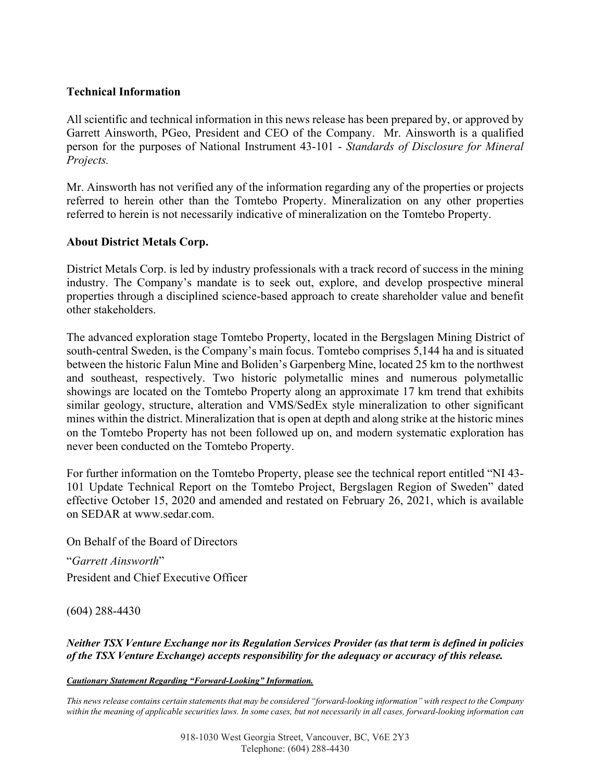### **Technical Information**

All scientific and technical information in this news release has been prepared by, or approved by Garrett Ainsworth, PGeo, President and CEO of the Company. Mr. Ainsworth is a qualified person for the purposes of National Instrument 43-101 - *Standards of Disclosure for Mineral Projects.*

Mr. Ainsworth has not verified any of the information regarding any of the properties or projects referred to herein other than the Tomtebo Property. Mineralization on any other properties referred to herein is not necessarily indicative of mineralization on the Tomtebo Property.

### **About District Metals Corp.**

District Metals Corp. is led by industry professionals with a track record of success in the mining industry. The Company's mandate is to seek out, explore, and develop prospective mineral properties through a disciplined science-based approach to create shareholder value and benefit other stakeholders.

The advanced exploration stage Tomtebo Property, located in the Bergslagen Mining District of south-central Sweden, is the Company's main focus. Tomtebo comprises 5,144 ha and is situated between the historic Falun Mine and Boliden's Garpenberg Mine, located 25 km to the northwest and southeast, respectively. Two historic polymetallic mines and numerous polymetallic showings are located on the Tomtebo Property along an approximate 17 km trend that exhibits similar geology, structure, alteration and VMS/SedEx style mineralization to other significant mines within the district. Mineralization that is open at depth and along strike at the historic mines on the Tomtebo Property has not been followed up on, and modern systematic exploration has never been conducted on the Tomtebo Property.

For further information on the Tomtebo Property, please see the technical report entitled "NI 43- 101 Update Technical Report on the Tomtebo Project, Bergslagen Region of Sweden" dated effective October 15, 2020 and amended and restated on February 26, 2021, which is available on SEDAR at www.sedar.com.

On Behalf of the Board of Directors

"*Garrett Ainsworth*" President and Chief Executive Officer

(604) 288-4430

*Neither TSX Venture Exchange nor its Regulation Services Provider (as that term is defined in policies of the TSX Venture Exchange) accepts responsibility for the adequacy or accuracy of this release.*

#### *Cautionary Statement Regarding "Forward-Looking" Information.*

*This news release contains certain statements that may be considered "forward-looking information" with respect to the Company within the meaning of applicable securities laws. In some cases, but not necessarily in all cases, forward-looking information can*